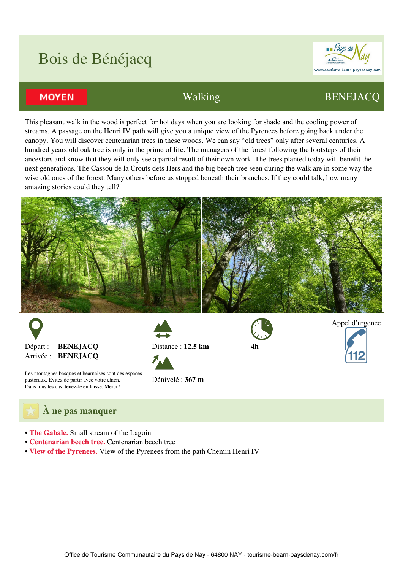## Bois de Bénéjacq



## **MOYEN**

## Walking BENEJACQ

Appel d'urgence

This pleasant walk in the wood is perfect for hot days when you are looking for shade and the cooling power of streams. A passage on the Henri IV path will give you a unique view of the Pyrenees before going back under the canopy. You will discover centenarian trees in these woods. We can say "old trees" only after several centuries. A hundred years old oak tree is only in the prime of life. The managers of the forest following the footsteps of their ancestors and know that they will only see a partial result of their own work. The trees planted today will benefit the next generations. The Cassou de la Crouts dets Hers and the big beech tree seen during the walk are in some way the wise old ones of the forest. Many others before us stopped beneath their branches. If they could talk, how many amazing stories could they tell?



**4h**



Distance : **12.5 km**



Les montagnes basques et béarnaises sont des espaces pastoraux. Evitez de partir avec votre chien. Dans tous les cas, tenez-le en laisse. Merci !

Dénivelé : **367 m**



- **The Gabale.** Small stream of the Lagoin
- **Centenarian beech tree.** Centenarian beech tree
- **View of the Pyrenees.** View of the Pyrenees from the path Chemin Henri IV